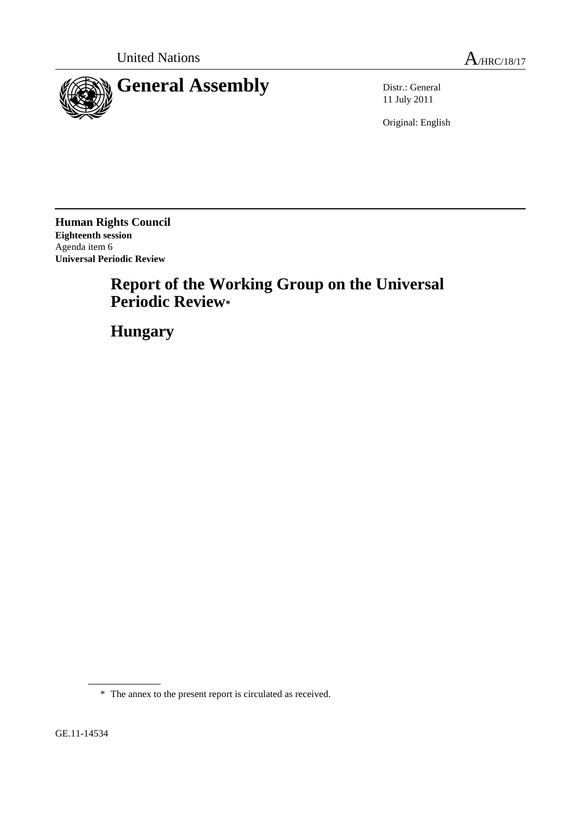

11 July 2011

Original: English

**Human Rights Council Eighteenth session**  Agenda item 6 **Universal Periodic Review** 

# **Report of the Working Group on the Universal Periodic Review\***

 **Hungary** 

GE.11-14534

<sup>\*</sup> The annex to the present report is circulated as received.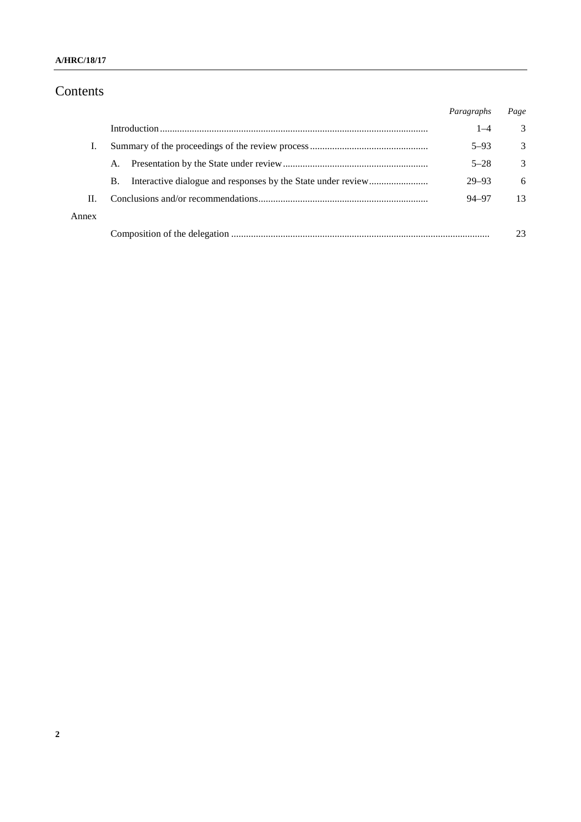### **A/HRC/18/17**

# Contents

|       |    | Paragraphs | Page          |
|-------|----|------------|---------------|
|       |    | $1 - 4$    | 3             |
| Ι.    |    | $5 - 93$   | 3             |
|       | A. | $5 - 28$   | $\mathcal{E}$ |
|       | В. | $29 - 93$  | 6             |
| П.    |    | $94 - 97$  | 13            |
| Annex |    |            |               |
|       |    |            | 23            |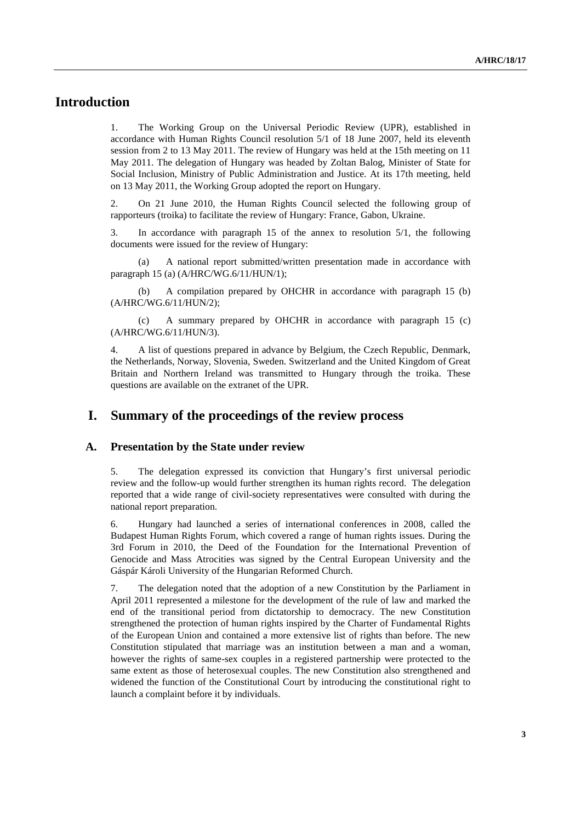# **Introduction**

1. The Working Group on the Universal Periodic Review (UPR), established in accordance with Human Rights Council resolution 5/1 of 18 June 2007, held its eleventh session from 2 to 13 May 2011. The review of Hungary was held at the 15th meeting on 11 May 2011. The delegation of Hungary was headed by Zoltan Balog, Minister of State for Social Inclusion, Ministry of Public Administration and Justice. At its 17th meeting, held on 13 May 2011, the Working Group adopted the report on Hungary.

2. On 21 June 2010, the Human Rights Council selected the following group of rapporteurs (troika) to facilitate the review of Hungary: France, Gabon, Ukraine.

3. In accordance with paragraph 15 of the annex to resolution 5/1, the following documents were issued for the review of Hungary:

 (a) A national report submitted/written presentation made in accordance with paragraph 15 (a) (A/HRC/WG.6/11/HUN/1);

 (b) A compilation prepared by OHCHR in accordance with paragraph 15 (b) (A/HRC/WG.6/11/HUN/2);

 (c) A summary prepared by OHCHR in accordance with paragraph 15 (c) (A/HRC/WG.6/11/HUN/3).

4. A list of questions prepared in advance by Belgium, the Czech Republic, Denmark, the Netherlands, Norway, Slovenia, Sweden. Switzerland and the United Kingdom of Great Britain and Northern Ireland was transmitted to Hungary through the troika. These questions are available on the extranet of the UPR.

# **I. Summary of the proceedings of the review process**

#### **A. Presentation by the State under review**

5. The delegation expressed its conviction that Hungary's first universal periodic review and the follow-up would further strengthen its human rights record. The delegation reported that a wide range of civil-society representatives were consulted with during the national report preparation.

6. Hungary had launched a series of international conferences in 2008, called the Budapest Human Rights Forum, which covered a range of human rights issues. During the 3rd Forum in 2010, the Deed of the Foundation for the International Prevention of Genocide and Mass Atrocities was signed by the Central European University and the Gáspár Károli University of the Hungarian Reformed Church.

7. The delegation noted that the adoption of a new Constitution by the Parliament in April 2011 represented a milestone for the development of the rule of law and marked the end of the transitional period from dictatorship to democracy. The new Constitution strengthened the protection of human rights inspired by the Charter of Fundamental Rights of the European Union and contained a more extensive list of rights than before. The new Constitution stipulated that marriage was an institution between a man and a woman, however the rights of same-sex couples in a registered partnership were protected to the same extent as those of heterosexual couples. The new Constitution also strengthened and widened the function of the Constitutional Court by introducing the constitutional right to launch a complaint before it by individuals.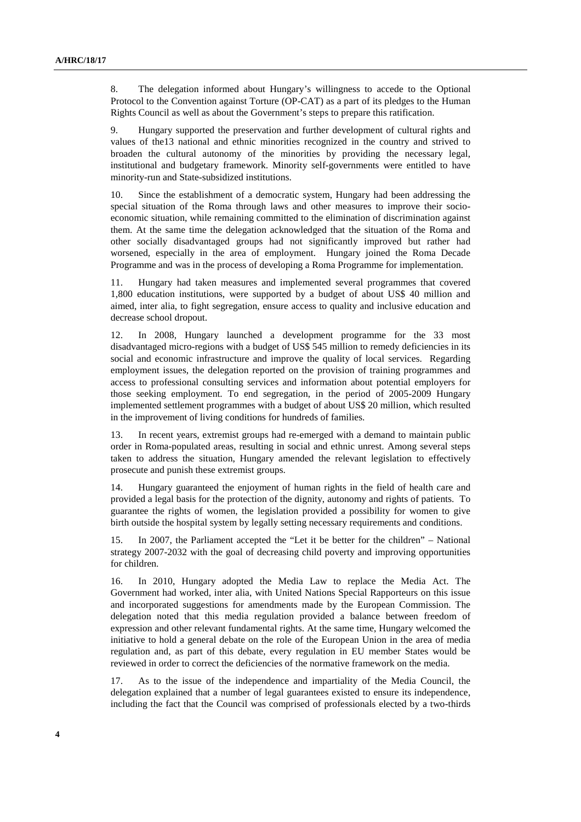8. The delegation informed about Hungary's willingness to accede to the Optional Protocol to the Convention against Torture (OP-CAT) as a part of its pledges to the Human Rights Council as well as about the Government's steps to prepare this ratification.

9. Hungary supported the preservation and further development of cultural rights and values of the13 national and ethnic minorities recognized in the country and strived to broaden the cultural autonomy of the minorities by providing the necessary legal, institutional and budgetary framework. Minority self-governments were entitled to have minority-run and State-subsidized institutions.

10. Since the establishment of a democratic system, Hungary had been addressing the special situation of the Roma through laws and other measures to improve their socioeconomic situation, while remaining committed to the elimination of discrimination against them. At the same time the delegation acknowledged that the situation of the Roma and other socially disadvantaged groups had not significantly improved but rather had worsened, especially in the area of employment. Hungary joined the Roma Decade Programme and was in the process of developing a Roma Programme for implementation.

11. Hungary had taken measures and implemented several programmes that covered 1,800 education institutions, were supported by a budget of about US\$ 40 million and aimed, inter alia, to fight segregation, ensure access to quality and inclusive education and decrease school dropout.

12. In 2008, Hungary launched a development programme for the 33 most disadvantaged micro-regions with a budget of US\$ 545 million to remedy deficiencies in its social and economic infrastructure and improve the quality of local services. Regarding employment issues, the delegation reported on the provision of training programmes and access to professional consulting services and information about potential employers for those seeking employment. To end segregation, in the period of 2005-2009 Hungary implemented settlement programmes with a budget of about US\$ 20 million, which resulted in the improvement of living conditions for hundreds of families.

13. In recent years, extremist groups had re-emerged with a demand to maintain public order in Roma-populated areas, resulting in social and ethnic unrest. Among several steps taken to address the situation, Hungary amended the relevant legislation to effectively prosecute and punish these extremist groups.

14. Hungary guaranteed the enjoyment of human rights in the field of health care and provided a legal basis for the protection of the dignity, autonomy and rights of patients. To guarantee the rights of women, the legislation provided a possibility for women to give birth outside the hospital system by legally setting necessary requirements and conditions.

15. In 2007, the Parliament accepted the "Let it be better for the children" – National strategy 2007-2032 with the goal of decreasing child poverty and improving opportunities for children.

16. In 2010, Hungary adopted the Media Law to replace the Media Act. The Government had worked, inter alia, with United Nations Special Rapporteurs on this issue and incorporated suggestions for amendments made by the European Commission. The delegation noted that this media regulation provided a balance between freedom of expression and other relevant fundamental rights. At the same time, Hungary welcomed the initiative to hold a general debate on the role of the European Union in the area of media regulation and, as part of this debate, every regulation in EU member States would be reviewed in order to correct the deficiencies of the normative framework on the media.

17. As to the issue of the independence and impartiality of the Media Council, the delegation explained that a number of legal guarantees existed to ensure its independence, including the fact that the Council was comprised of professionals elected by a two-thirds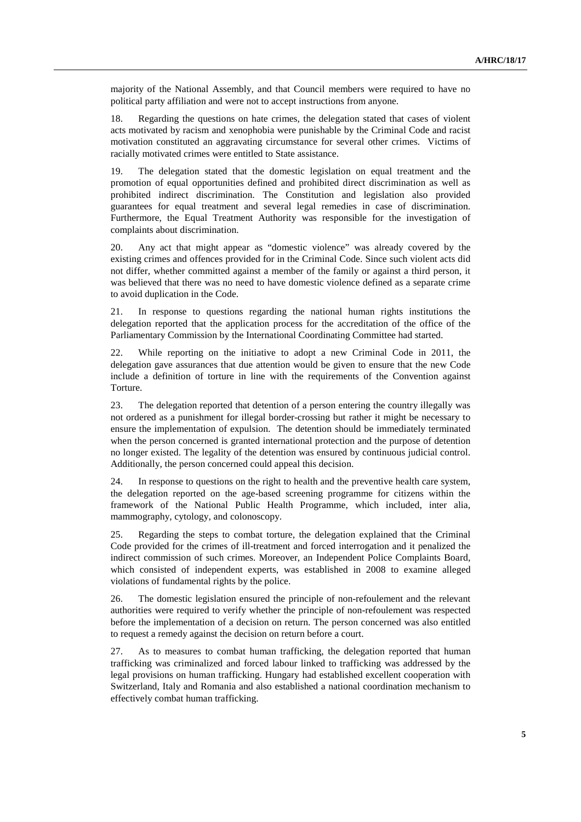majority of the National Assembly, and that Council members were required to have no political party affiliation and were not to accept instructions from anyone.

18. Regarding the questions on hate crimes, the delegation stated that cases of violent acts motivated by racism and xenophobia were punishable by the Criminal Code and racist motivation constituted an aggravating circumstance for several other crimes. Victims of racially motivated crimes were entitled to State assistance.

19. The delegation stated that the domestic legislation on equal treatment and the promotion of equal opportunities defined and prohibited direct discrimination as well as prohibited indirect discrimination. The Constitution and legislation also provided guarantees for equal treatment and several legal remedies in case of discrimination. Furthermore, the Equal Treatment Authority was responsible for the investigation of complaints about discrimination.

20. Any act that might appear as "domestic violence" was already covered by the existing crimes and offences provided for in the Criminal Code. Since such violent acts did not differ, whether committed against a member of the family or against a third person, it was believed that there was no need to have domestic violence defined as a separate crime to avoid duplication in the Code.

21. In response to questions regarding the national human rights institutions the delegation reported that the application process for the accreditation of the office of the Parliamentary Commission by the International Coordinating Committee had started.

22. While reporting on the initiative to adopt a new Criminal Code in 2011, the delegation gave assurances that due attention would be given to ensure that the new Code include a definition of torture in line with the requirements of the Convention against Torture.

23. The delegation reported that detention of a person entering the country illegally was not ordered as a punishment for illegal border-crossing but rather it might be necessary to ensure the implementation of expulsion. The detention should be immediately terminated when the person concerned is granted international protection and the purpose of detention no longer existed. The legality of the detention was ensured by continuous judicial control. Additionally, the person concerned could appeal this decision.

24. In response to questions on the right to health and the preventive health care system, the delegation reported on the age-based screening programme for citizens within the framework of the National Public Health Programme, which included, inter alia, mammography, cytology, and colonoscopy.

25. Regarding the steps to combat torture, the delegation explained that the Criminal Code provided for the crimes of ill-treatment and forced interrogation and it penalized the indirect commission of such crimes. Moreover, an Independent Police Complaints Board, which consisted of independent experts, was established in 2008 to examine alleged violations of fundamental rights by the police.

26. The domestic legislation ensured the principle of non-refoulement and the relevant authorities were required to verify whether the principle of non-refoulement was respected before the implementation of a decision on return. The person concerned was also entitled to request a remedy against the decision on return before a court.

27. As to measures to combat human trafficking, the delegation reported that human trafficking was criminalized and forced labour linked to trafficking was addressed by the legal provisions on human trafficking. Hungary had established excellent cooperation with Switzerland, Italy and Romania and also established a national coordination mechanism to effectively combat human trafficking.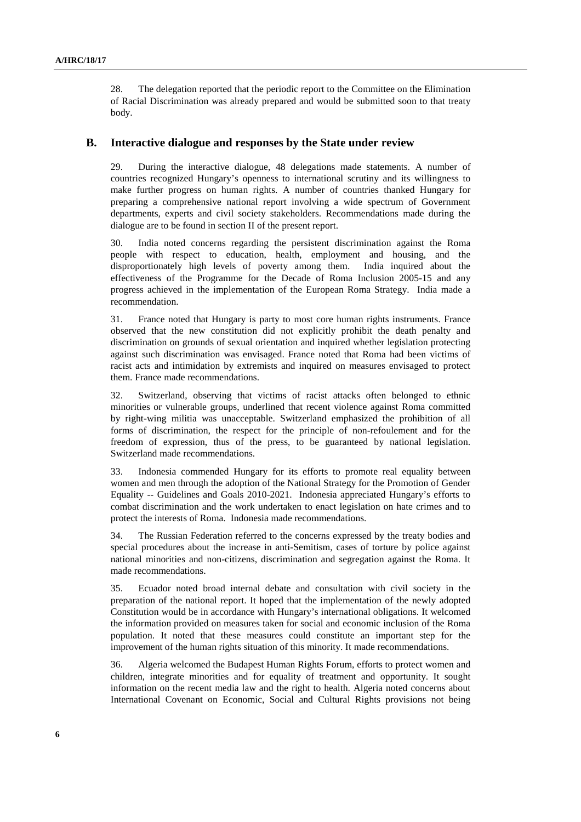28. The delegation reported that the periodic report to the Committee on the Elimination of Racial Discrimination was already prepared and would be submitted soon to that treaty body.

#### **B. Interactive dialogue and responses by the State under review**

29. During the interactive dialogue, 48 delegations made statements. A number of countries recognized Hungary's openness to international scrutiny and its willingness to make further progress on human rights. A number of countries thanked Hungary for preparing a comprehensive national report involving a wide spectrum of Government departments, experts and civil society stakeholders. Recommendations made during the dialogue are to be found in section II of the present report.

30. India noted concerns regarding the persistent discrimination against the Roma people with respect to education, health, employment and housing, and the disproportionately high levels of poverty among them. India inquired about the effectiveness of the Programme for the Decade of Roma Inclusion 2005-15 and any progress achieved in the implementation of the European Roma Strategy. India made a recommendation.

31. France noted that Hungary is party to most core human rights instruments. France observed that the new constitution did not explicitly prohibit the death penalty and discrimination on grounds of sexual orientation and inquired whether legislation protecting against such discrimination was envisaged. France noted that Roma had been victims of racist acts and intimidation by extremists and inquired on measures envisaged to protect them. France made recommendations.

32. Switzerland, observing that victims of racist attacks often belonged to ethnic minorities or vulnerable groups, underlined that recent violence against Roma committed by right-wing militia was unacceptable. Switzerland emphasized the prohibition of all forms of discrimination, the respect for the principle of non-refoulement and for the freedom of expression, thus of the press, to be guaranteed by national legislation. Switzerland made recommendations.

33. Indonesia commended Hungary for its efforts to promote real equality between women and men through the adoption of the National Strategy for the Promotion of Gender Equality -- Guidelines and Goals 2010-2021. Indonesia appreciated Hungary's efforts to combat discrimination and the work undertaken to enact legislation on hate crimes and to protect the interests of Roma. Indonesia made recommendations.

34. The Russian Federation referred to the concerns expressed by the treaty bodies and special procedures about the increase in anti-Semitism, cases of torture by police against national minorities and non-citizens, discrimination and segregation against the Roma. It made recommendations.

35. Ecuador noted broad internal debate and consultation with civil society in the preparation of the national report. It hoped that the implementation of the newly adopted Constitution would be in accordance with Hungary's international obligations. It welcomed the information provided on measures taken for social and economic inclusion of the Roma population. It noted that these measures could constitute an important step for the improvement of the human rights situation of this minority. It made recommendations.

36. Algeria welcomed the Budapest Human Rights Forum, efforts to protect women and children, integrate minorities and for equality of treatment and opportunity. It sought information on the recent media law and the right to health. Algeria noted concerns about International Covenant on Economic, Social and Cultural Rights provisions not being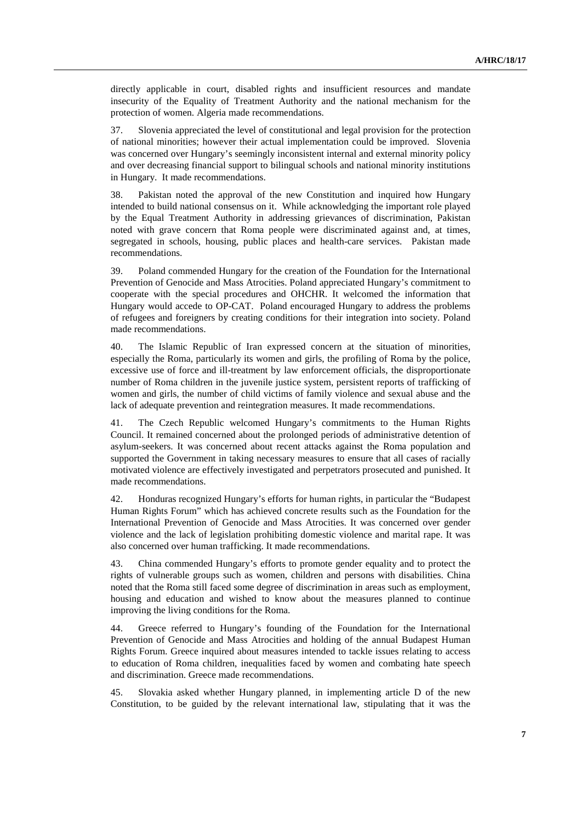directly applicable in court, disabled rights and insufficient resources and mandate insecurity of the Equality of Treatment Authority and the national mechanism for the protection of women. Algeria made recommendations.

37. Slovenia appreciated the level of constitutional and legal provision for the protection of national minorities; however their actual implementation could be improved. Slovenia was concerned over Hungary's seemingly inconsistent internal and external minority policy and over decreasing financial support to bilingual schools and national minority institutions in Hungary. It made recommendations.

38. Pakistan noted the approval of the new Constitution and inquired how Hungary intended to build national consensus on it. While acknowledging the important role played by the Equal Treatment Authority in addressing grievances of discrimination, Pakistan noted with grave concern that Roma people were discriminated against and, at times, segregated in schools, housing, public places and health-care services. Pakistan made recommendations.

39. Poland commended Hungary for the creation of the Foundation for the International Prevention of Genocide and Mass Atrocities. Poland appreciated Hungary's commitment to cooperate with the special procedures and OHCHR. It welcomed the information that Hungary would accede to OP-CAT. Poland encouraged Hungary to address the problems of refugees and foreigners by creating conditions for their integration into society. Poland made recommendations.

40. The Islamic Republic of Iran expressed concern at the situation of minorities, especially the Roma, particularly its women and girls, the profiling of Roma by the police, excessive use of force and ill-treatment by law enforcement officials, the disproportionate number of Roma children in the juvenile justice system, persistent reports of trafficking of women and girls, the number of child victims of family violence and sexual abuse and the lack of adequate prevention and reintegration measures. It made recommendations.

41. The Czech Republic welcomed Hungary's commitments to the Human Rights Council. It remained concerned about the prolonged periods of administrative detention of asylum-seekers. It was concerned about recent attacks against the Roma population and supported the Government in taking necessary measures to ensure that all cases of racially motivated violence are effectively investigated and perpetrators prosecuted and punished. It made recommendations.

42. Honduras recognized Hungary's efforts for human rights, in particular the "Budapest Human Rights Forum" which has achieved concrete results such as the Foundation for the International Prevention of Genocide and Mass Atrocities. It was concerned over gender violence and the lack of legislation prohibiting domestic violence and marital rape. It was also concerned over human trafficking. It made recommendations.

43. China commended Hungary's efforts to promote gender equality and to protect the rights of vulnerable groups such as women, children and persons with disabilities. China noted that the Roma still faced some degree of discrimination in areas such as employment, housing and education and wished to know about the measures planned to continue improving the living conditions for the Roma.

44. Greece referred to Hungary's founding of the Foundation for the International Prevention of Genocide and Mass Atrocities and holding of the annual Budapest Human Rights Forum. Greece inquired about measures intended to tackle issues relating to access to education of Roma children, inequalities faced by women and combating hate speech and discrimination. Greece made recommendations.

45. Slovakia asked whether Hungary planned, in implementing article D of the new Constitution, to be guided by the relevant international law, stipulating that it was the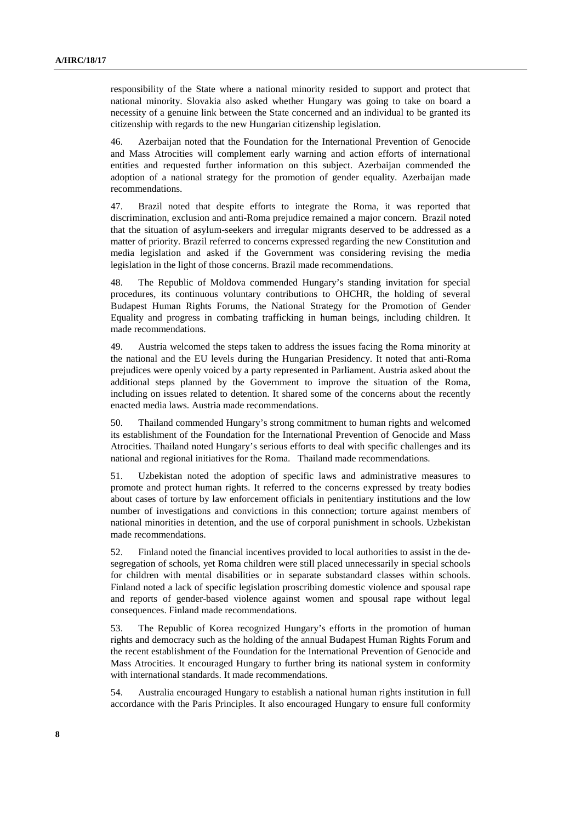responsibility of the State where a national minority resided to support and protect that national minority. Slovakia also asked whether Hungary was going to take on board a necessity of a genuine link between the State concerned and an individual to be granted its citizenship with regards to the new Hungarian citizenship legislation.

46. Azerbaijan noted that the Foundation for the International Prevention of Genocide and Mass Atrocities will complement early warning and action efforts of international entities and requested further information on this subject. Azerbaijan commended the adoption of a national strategy for the promotion of gender equality. Azerbaijan made recommendations.

47. Brazil noted that despite efforts to integrate the Roma, it was reported that discrimination, exclusion and anti-Roma prejudice remained a major concern. Brazil noted that the situation of asylum-seekers and irregular migrants deserved to be addressed as a matter of priority. Brazil referred to concerns expressed regarding the new Constitution and media legislation and asked if the Government was considering revising the media legislation in the light of those concerns. Brazil made recommendations.

48. The Republic of Moldova commended Hungary's standing invitation for special procedures, its continuous voluntary contributions to OHCHR, the holding of several Budapest Human Rights Forums, the National Strategy for the Promotion of Gender Equality and progress in combating trafficking in human beings, including children. It made recommendations.

49. Austria welcomed the steps taken to address the issues facing the Roma minority at the national and the EU levels during the Hungarian Presidency. It noted that anti-Roma prejudices were openly voiced by a party represented in Parliament. Austria asked about the additional steps planned by the Government to improve the situation of the Roma, including on issues related to detention. It shared some of the concerns about the recently enacted media laws. Austria made recommendations.

50. Thailand commended Hungary's strong commitment to human rights and welcomed its establishment of the Foundation for the International Prevention of Genocide and Mass Atrocities. Thailand noted Hungary's serious efforts to deal with specific challenges and its national and regional initiatives for the Roma. Thailand made recommendations.

51. Uzbekistan noted the adoption of specific laws and administrative measures to promote and protect human rights. It referred to the concerns expressed by treaty bodies about cases of torture by law enforcement officials in penitentiary institutions and the low number of investigations and convictions in this connection; torture against members of national minorities in detention, and the use of corporal punishment in schools. Uzbekistan made recommendations.

52. Finland noted the financial incentives provided to local authorities to assist in the desegregation of schools, yet Roma children were still placed unnecessarily in special schools for children with mental disabilities or in separate substandard classes within schools. Finland noted a lack of specific legislation proscribing domestic violence and spousal rape and reports of gender-based violence against women and spousal rape without legal consequences. Finland made recommendations.

53. The Republic of Korea recognized Hungary's efforts in the promotion of human rights and democracy such as the holding of the annual Budapest Human Rights Forum and the recent establishment of the Foundation for the International Prevention of Genocide and Mass Atrocities. It encouraged Hungary to further bring its national system in conformity with international standards. It made recommendations.

54. Australia encouraged Hungary to establish a national human rights institution in full accordance with the Paris Principles. It also encouraged Hungary to ensure full conformity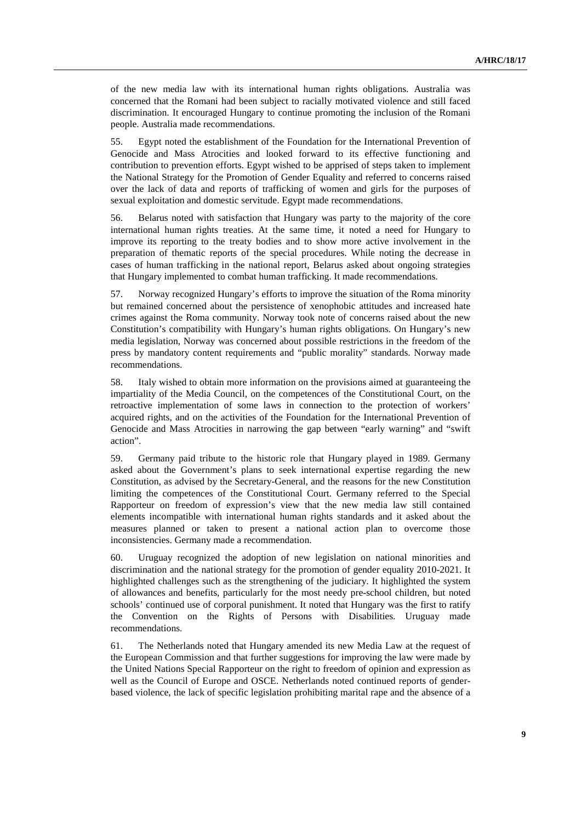of the new media law with its international human rights obligations. Australia was concerned that the Romani had been subject to racially motivated violence and still faced discrimination. It encouraged Hungary to continue promoting the inclusion of the Romani people. Australia made recommendations.

55. Egypt noted the establishment of the Foundation for the International Prevention of Genocide and Mass Atrocities and looked forward to its effective functioning and contribution to prevention efforts. Egypt wished to be apprised of steps taken to implement the National Strategy for the Promotion of Gender Equality and referred to concerns raised over the lack of data and reports of trafficking of women and girls for the purposes of sexual exploitation and domestic servitude. Egypt made recommendations.

56. Belarus noted with satisfaction that Hungary was party to the majority of the core international human rights treaties. At the same time, it noted a need for Hungary to improve its reporting to the treaty bodies and to show more active involvement in the preparation of thematic reports of the special procedures. While noting the decrease in cases of human trafficking in the national report, Belarus asked about ongoing strategies that Hungary implemented to combat human trafficking. It made recommendations.

57. Norway recognized Hungary's efforts to improve the situation of the Roma minority but remained concerned about the persistence of xenophobic attitudes and increased hate crimes against the Roma community. Norway took note of concerns raised about the new Constitution's compatibility with Hungary's human rights obligations. On Hungary's new media legislation, Norway was concerned about possible restrictions in the freedom of the press by mandatory content requirements and "public morality" standards. Norway made recommendations.

58. Italy wished to obtain more information on the provisions aimed at guaranteeing the impartiality of the Media Council, on the competences of the Constitutional Court, on the retroactive implementation of some laws in connection to the protection of workers' acquired rights, and on the activities of the Foundation for the International Prevention of Genocide and Mass Atrocities in narrowing the gap between "early warning" and "swift action".

59. Germany paid tribute to the historic role that Hungary played in 1989. Germany asked about the Government's plans to seek international expertise regarding the new Constitution, as advised by the Secretary-General, and the reasons for the new Constitution limiting the competences of the Constitutional Court. Germany referred to the Special Rapporteur on freedom of expression's view that the new media law still contained elements incompatible with international human rights standards and it asked about the measures planned or taken to present a national action plan to overcome those inconsistencies. Germany made a recommendation.

60. Uruguay recognized the adoption of new legislation on national minorities and discrimination and the national strategy for the promotion of gender equality 2010-2021. It highlighted challenges such as the strengthening of the judiciary. It highlighted the system of allowances and benefits, particularly for the most needy pre-school children, but noted schools' continued use of corporal punishment. It noted that Hungary was the first to ratify the Convention on the Rights of Persons with Disabilities. Uruguay made recommendations.

61. The Netherlands noted that Hungary amended its new Media Law at the request of the European Commission and that further suggestions for improving the law were made by the United Nations Special Rapporteur on the right to freedom of opinion and expression as well as the Council of Europe and OSCE. Netherlands noted continued reports of genderbased violence, the lack of specific legislation prohibiting marital rape and the absence of a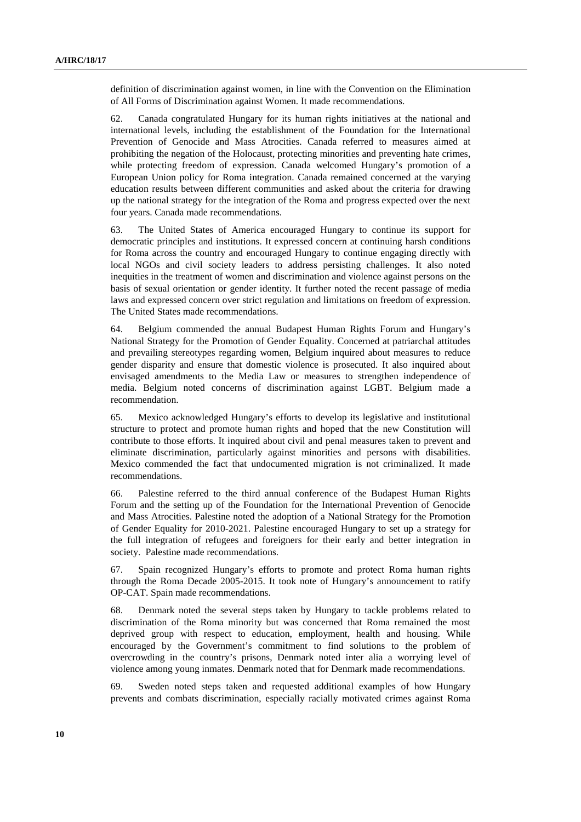definition of discrimination against women, in line with the Convention on the Elimination of All Forms of Discrimination against Women. It made recommendations.

62. Canada congratulated Hungary for its human rights initiatives at the national and international levels, including the establishment of the Foundation for the International Prevention of Genocide and Mass Atrocities. Canada referred to measures aimed at prohibiting the negation of the Holocaust, protecting minorities and preventing hate crimes, while protecting freedom of expression. Canada welcomed Hungary's promotion of a European Union policy for Roma integration. Canada remained concerned at the varying education results between different communities and asked about the criteria for drawing up the national strategy for the integration of the Roma and progress expected over the next four years. Canada made recommendations.

63. The United States of America encouraged Hungary to continue its support for democratic principles and institutions. It expressed concern at continuing harsh conditions for Roma across the country and encouraged Hungary to continue engaging directly with local NGOs and civil society leaders to address persisting challenges. It also noted inequities in the treatment of women and discrimination and violence against persons on the basis of sexual orientation or gender identity. It further noted the recent passage of media laws and expressed concern over strict regulation and limitations on freedom of expression. The United States made recommendations.

64. Belgium commended the annual Budapest Human Rights Forum and Hungary's National Strategy for the Promotion of Gender Equality. Concerned at patriarchal attitudes and prevailing stereotypes regarding women, Belgium inquired about measures to reduce gender disparity and ensure that domestic violence is prosecuted. It also inquired about envisaged amendments to the Media Law or measures to strengthen independence of media. Belgium noted concerns of discrimination against LGBT. Belgium made a recommendation.

65. Mexico acknowledged Hungary's efforts to develop its legislative and institutional structure to protect and promote human rights and hoped that the new Constitution will contribute to those efforts. It inquired about civil and penal measures taken to prevent and eliminate discrimination, particularly against minorities and persons with disabilities. Mexico commended the fact that undocumented migration is not criminalized. It made recommendations.

66. Palestine referred to the third annual conference of the Budapest Human Rights Forum and the setting up of the Foundation for the International Prevention of Genocide and Mass Atrocities. Palestine noted the adoption of a National Strategy for the Promotion of Gender Equality for 2010-2021. Palestine encouraged Hungary to set up a strategy for the full integration of refugees and foreigners for their early and better integration in society. Palestine made recommendations.

67. Spain recognized Hungary's efforts to promote and protect Roma human rights through the Roma Decade 2005-2015. It took note of Hungary's announcement to ratify OP-CAT. Spain made recommendations.

68. Denmark noted the several steps taken by Hungary to tackle problems related to discrimination of the Roma minority but was concerned that Roma remained the most deprived group with respect to education, employment, health and housing. While encouraged by the Government's commitment to find solutions to the problem of overcrowding in the country's prisons, Denmark noted inter alia a worrying level of violence among young inmates. Denmark noted that for Denmark made recommendations.

69. Sweden noted steps taken and requested additional examples of how Hungary prevents and combats discrimination, especially racially motivated crimes against Roma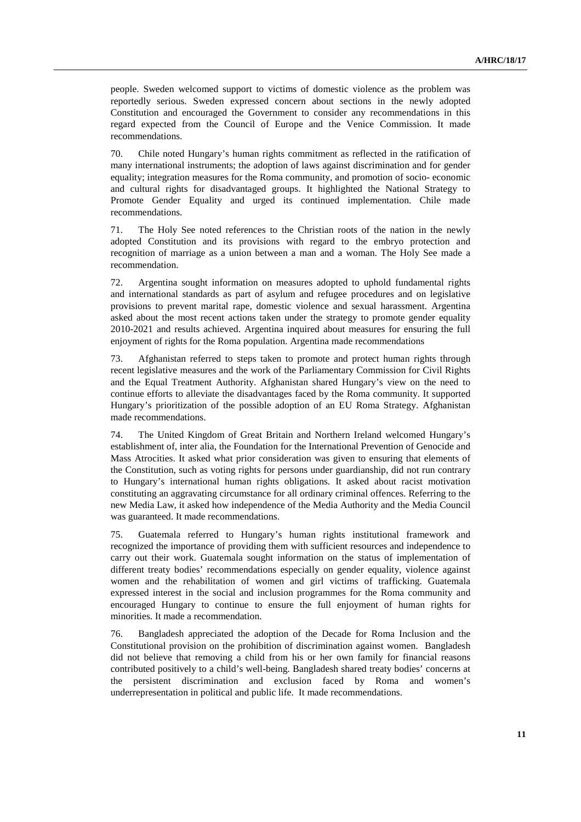people. Sweden welcomed support to victims of domestic violence as the problem was reportedly serious. Sweden expressed concern about sections in the newly adopted Constitution and encouraged the Government to consider any recommendations in this regard expected from the Council of Europe and the Venice Commission. It made recommendations.

70. Chile noted Hungary's human rights commitment as reflected in the ratification of many international instruments; the adoption of laws against discrimination and for gender equality; integration measures for the Roma community, and promotion of socio- economic and cultural rights for disadvantaged groups. It highlighted the National Strategy to Promote Gender Equality and urged its continued implementation. Chile made recommendations.

71. The Holy See noted references to the Christian roots of the nation in the newly adopted Constitution and its provisions with regard to the embryo protection and recognition of marriage as a union between a man and a woman. The Holy See made a recommendation.

72. Argentina sought information on measures adopted to uphold fundamental rights and international standards as part of asylum and refugee procedures and on legislative provisions to prevent marital rape, domestic violence and sexual harassment. Argentina asked about the most recent actions taken under the strategy to promote gender equality 2010-2021 and results achieved. Argentina inquired about measures for ensuring the full enjoyment of rights for the Roma population. Argentina made recommendations

73. Afghanistan referred to steps taken to promote and protect human rights through recent legislative measures and the work of the Parliamentary Commission for Civil Rights and the Equal Treatment Authority. Afghanistan shared Hungary's view on the need to continue efforts to alleviate the disadvantages faced by the Roma community. It supported Hungary's prioritization of the possible adoption of an EU Roma Strategy. Afghanistan made recommendations.

74. The United Kingdom of Great Britain and Northern Ireland welcomed Hungary's establishment of, inter alia, the Foundation for the International Prevention of Genocide and Mass Atrocities. It asked what prior consideration was given to ensuring that elements of the Constitution, such as voting rights for persons under guardianship, did not run contrary to Hungary's international human rights obligations. It asked about racist motivation constituting an aggravating circumstance for all ordinary criminal offences. Referring to the new Media Law, it asked how independence of the Media Authority and the Media Council was guaranteed. It made recommendations.

75. Guatemala referred to Hungary's human rights institutional framework and recognized the importance of providing them with sufficient resources and independence to carry out their work. Guatemala sought information on the status of implementation of different treaty bodies' recommendations especially on gender equality, violence against women and the rehabilitation of women and girl victims of trafficking. Guatemala expressed interest in the social and inclusion programmes for the Roma community and encouraged Hungary to continue to ensure the full enjoyment of human rights for minorities. It made a recommendation.

76. Bangladesh appreciated the adoption of the Decade for Roma Inclusion and the Constitutional provision on the prohibition of discrimination against women. Bangladesh did not believe that removing a child from his or her own family for financial reasons contributed positively to a child's well-being. Bangladesh shared treaty bodies' concerns at the persistent discrimination and exclusion faced by Roma and women's underrepresentation in political and public life. It made recommendations.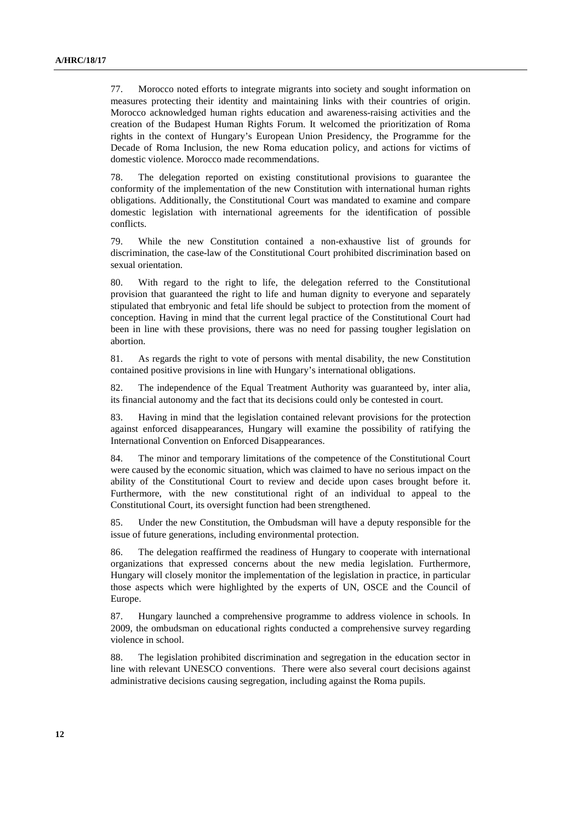77. Morocco noted efforts to integrate migrants into society and sought information on measures protecting their identity and maintaining links with their countries of origin. Morocco acknowledged human rights education and awareness-raising activities and the creation of the Budapest Human Rights Forum. It welcomed the prioritization of Roma rights in the context of Hungary's European Union Presidency, the Programme for the Decade of Roma Inclusion, the new Roma education policy, and actions for victims of domestic violence. Morocco made recommendations.

78. The delegation reported on existing constitutional provisions to guarantee the conformity of the implementation of the new Constitution with international human rights obligations. Additionally, the Constitutional Court was mandated to examine and compare domestic legislation with international agreements for the identification of possible conflicts.

79. While the new Constitution contained a non-exhaustive list of grounds for discrimination, the case-law of the Constitutional Court prohibited discrimination based on sexual orientation.

80. With regard to the right to life, the delegation referred to the Constitutional provision that guaranteed the right to life and human dignity to everyone and separately stipulated that embryonic and fetal life should be subject to protection from the moment of conception. Having in mind that the current legal practice of the Constitutional Court had been in line with these provisions, there was no need for passing tougher legislation on abortion.

81. As regards the right to vote of persons with mental disability, the new Constitution contained positive provisions in line with Hungary's international obligations.

82. The independence of the Equal Treatment Authority was guaranteed by, inter alia, its financial autonomy and the fact that its decisions could only be contested in court.

83. Having in mind that the legislation contained relevant provisions for the protection against enforced disappearances, Hungary will examine the possibility of ratifying the International Convention on Enforced Disappearances.

84. The minor and temporary limitations of the competence of the Constitutional Court were caused by the economic situation, which was claimed to have no serious impact on the ability of the Constitutional Court to review and decide upon cases brought before it. Furthermore, with the new constitutional right of an individual to appeal to the Constitutional Court, its oversight function had been strengthened.

85. Under the new Constitution, the Ombudsman will have a deputy responsible for the issue of future generations, including environmental protection.

86. The delegation reaffirmed the readiness of Hungary to cooperate with international organizations that expressed concerns about the new media legislation. Furthermore, Hungary will closely monitor the implementation of the legislation in practice, in particular those aspects which were highlighted by the experts of UN, OSCE and the Council of Europe.

87. Hungary launched a comprehensive programme to address violence in schools. In 2009, the ombudsman on educational rights conducted a comprehensive survey regarding violence in school.

88. The legislation prohibited discrimination and segregation in the education sector in line with relevant UNESCO conventions. There were also several court decisions against administrative decisions causing segregation, including against the Roma pupils.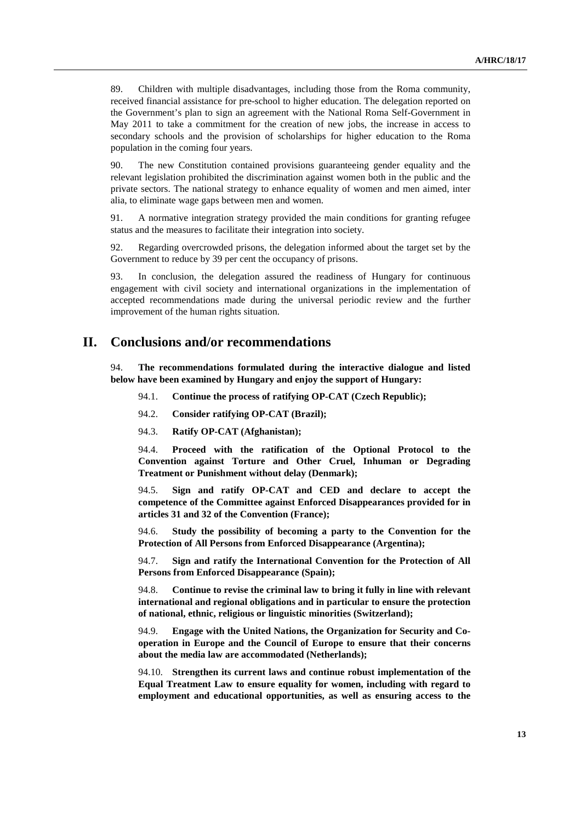89. Children with multiple disadvantages, including those from the Roma community, received financial assistance for pre-school to higher education. The delegation reported on the Government's plan to sign an agreement with the National Roma Self-Government in May 2011 to take a commitment for the creation of new jobs, the increase in access to secondary schools and the provision of scholarships for higher education to the Roma population in the coming four years.

90. The new Constitution contained provisions guaranteeing gender equality and the relevant legislation prohibited the discrimination against women both in the public and the private sectors. The national strategy to enhance equality of women and men aimed, inter alia, to eliminate wage gaps between men and women.

91. A normative integration strategy provided the main conditions for granting refugee status and the measures to facilitate their integration into society.

92. Regarding overcrowded prisons, the delegation informed about the target set by the Government to reduce by 39 per cent the occupancy of prisons.

93. In conclusion, the delegation assured the readiness of Hungary for continuous engagement with civil society and international organizations in the implementation of accepted recommendations made during the universal periodic review and the further improvement of the human rights situation.

## **II. Conclusions and/or recommendations**

94. **The recommendations formulated during the interactive dialogue and listed below have been examined by Hungary and enjoy the support of Hungary:**

- 94.1. **Continue the process of ratifying OP-CAT (Czech Republic);**
- 94.2. **Consider ratifying OP-CAT (Brazil);**
- 94.3. **Ratify OP-CAT (Afghanistan);**

94.4. **Proceed with the ratification of the Optional Protocol to the Convention against Torture and Other Cruel, Inhuman or Degrading Treatment or Punishment without delay (Denmark);**

94.5. **Sign and ratify OP-CAT and CED and declare to accept the competence of the Committee against Enforced Disappearances provided for in articles 31 and 32 of the Convention (France);**

94.6. **Study the possibility of becoming a party to the Convention for the Protection of All Persons from Enforced Disappearance (Argentina);**

94.7. **Sign and ratify the International Convention for the Protection of All Persons from Enforced Disappearance (Spain);**

94.8. **Continue to revise the criminal law to bring it fully in line with relevant international and regional obligations and in particular to ensure the protection of national, ethnic, religious or linguistic minorities (Switzerland);**

94.9. **Engage with the United Nations, the Organization for Security and Cooperation in Europe and the Council of Europe to ensure that their concerns about the media law are accommodated (Netherlands);**

94.10. **Strengthen its current laws and continue robust implementation of the Equal Treatment Law to ensure equality for women, including with regard to employment and educational opportunities, as well as ensuring access to the**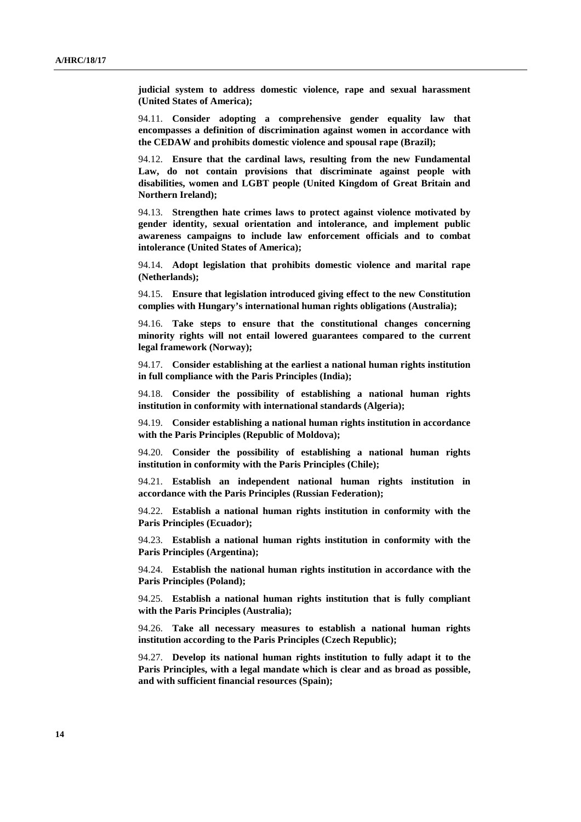**judicial system to address domestic violence, rape and sexual harassment (United States of America);**

94.11. **Consider adopting a comprehensive gender equality law that encompasses a definition of discrimination against women in accordance with the CEDAW and prohibits domestic violence and spousal rape (Brazil);**

94.12. **Ensure that the cardinal laws, resulting from the new Fundamental Law, do not contain provisions that discriminate against people with disabilities, women and LGBT people (United Kingdom of Great Britain and Northern Ireland);**

94.13. **Strengthen hate crimes laws to protect against violence motivated by gender identity, sexual orientation and intolerance, and implement public awareness campaigns to include law enforcement officials and to combat intolerance (United States of America);**

94.14. **Adopt legislation that prohibits domestic violence and marital rape (Netherlands);**

94.15. **Ensure that legislation introduced giving effect to the new Constitution complies with Hungary's international human rights obligations (Australia);**

94.16. **Take steps to ensure that the constitutional changes concerning minority rights will not entail lowered guarantees compared to the current legal framework (Norway);**

94.17. **Consider establishing at the earliest a national human rights institution in full compliance with the Paris Principles (India);**

94.18. **Consider the possibility of establishing a national human rights institution in conformity with international standards (Algeria);**

94.19. **Consider establishing a national human rights institution in accordance with the Paris Principles (Republic of Moldova);**

94.20. **Consider the possibility of establishing a national human rights institution in conformity with the Paris Principles (Chile);**

94.21. **Establish an independent national human rights institution in accordance with the Paris Principles (Russian Federation);**

94.22. **Establish a national human rights institution in conformity with the Paris Principles (Ecuador);**

94.23. **Establish a national human rights institution in conformity with the Paris Principles (Argentina);**

94.24. **Establish the national human rights institution in accordance with the Paris Principles (Poland);**

94.25. **Establish a national human rights institution that is fully compliant with the Paris Principles (Australia);**

94.26. **Take all necessary measures to establish a national human rights institution according to the Paris Principles (Czech Republic);**

94.27. **Develop its national human rights institution to fully adapt it to the Paris Principles, with a legal mandate which is clear and as broad as possible, and with sufficient financial resources (Spain);**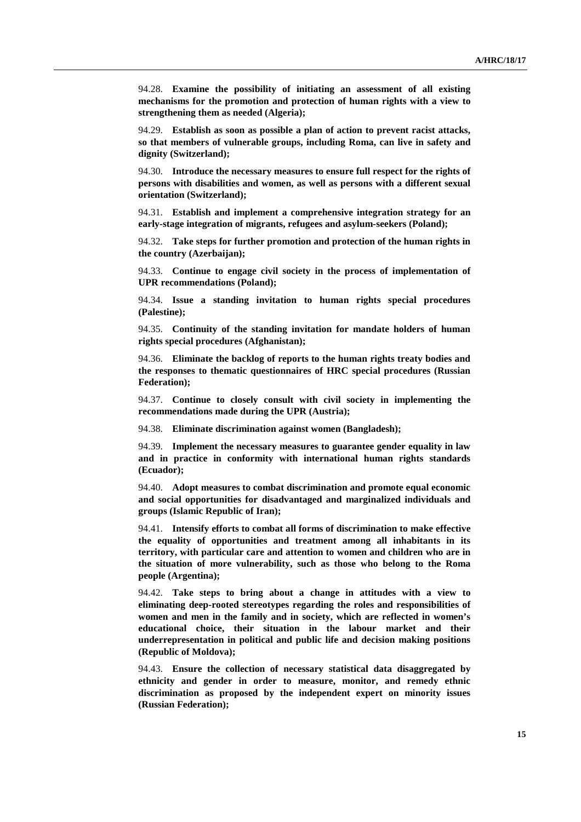94.28. **Examine the possibility of initiating an assessment of all existing mechanisms for the promotion and protection of human rights with a view to strengthening them as needed (Algeria);**

94.29. **Establish as soon as possible a plan of action to prevent racist attacks, so that members of vulnerable groups, including Roma, can live in safety and dignity (Switzerland);**

94.30. **Introduce the necessary measures to ensure full respect for the rights of persons with disabilities and women, as well as persons with a different sexual orientation (Switzerland);**

94.31. **Establish and implement a comprehensive integration strategy for an early-stage integration of migrants, refugees and asylum-seekers (Poland);**

94.32. **Take steps for further promotion and protection of the human rights in the country (Azerbaijan);**

94.33. **Continue to engage civil society in the process of implementation of UPR recommendations (Poland);**

94.34. **Issue a standing invitation to human rights special procedures (Palestine);**

94.35. **Continuity of the standing invitation for mandate holders of human rights special procedures (Afghanistan);**

94.36. **Eliminate the backlog of reports to the human rights treaty bodies and the responses to thematic questionnaires of HRC special procedures (Russian Federation);**

94.37. **Continue to closely consult with civil society in implementing the recommendations made during the UPR (Austria);**

94.38. **Eliminate discrimination against women (Bangladesh);**

94.39. **Implement the necessary measures to guarantee gender equality in law and in practice in conformity with international human rights standards (Ecuador);**

94.40. **Adopt measures to combat discrimination and promote equal economic and social opportunities for disadvantaged and marginalized individuals and groups (Islamic Republic of Iran);**

94.41. **Intensify efforts to combat all forms of discrimination to make effective the equality of opportunities and treatment among all inhabitants in its territory, with particular care and attention to women and children who are in the situation of more vulnerability, such as those who belong to the Roma people (Argentina);**

94.42. **Take steps to bring about a change in attitudes with a view to eliminating deep-rooted stereotypes regarding the roles and responsibilities of women and men in the family and in society, which are reflected in women's educational choice, their situation in the labour market and their underrepresentation in political and public life and decision making positions (Republic of Moldova);**

94.43. **Ensure the collection of necessary statistical data disaggregated by ethnicity and gender in order to measure, monitor, and remedy ethnic discrimination as proposed by the independent expert on minority issues (Russian Federation);**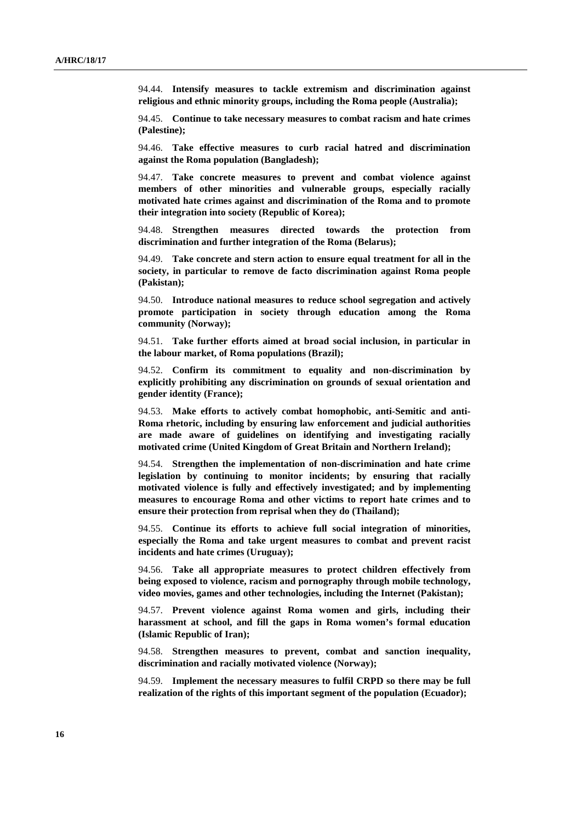94.44. **Intensify measures to tackle extremism and discrimination against religious and ethnic minority groups, including the Roma people (Australia);**

94.45. **Continue to take necessary measures to combat racism and hate crimes (Palestine);**

94.46. **Take effective measures to curb racial hatred and discrimination against the Roma population (Bangladesh);**

94.47. **Take concrete measures to prevent and combat violence against members of other minorities and vulnerable groups, especially racially motivated hate crimes against and discrimination of the Roma and to promote their integration into society (Republic of Korea);**

94.48. **Strengthen measures directed towards the protection from discrimination and further integration of the Roma (Belarus);**

94.49. **Take concrete and stern action to ensure equal treatment for all in the society, in particular to remove de facto discrimination against Roma people (Pakistan);**

94.50. **Introduce national measures to reduce school segregation and actively promote participation in society through education among the Roma community (Norway);**

94.51. **Take further efforts aimed at broad social inclusion, in particular in the labour market, of Roma populations (Brazil);**

94.52. **Confirm its commitment to equality and non-discrimination by explicitly prohibiting any discrimination on grounds of sexual orientation and gender identity (France);**

94.53. **Make efforts to actively combat homophobic, anti-Semitic and anti-Roma rhetoric, including by ensuring law enforcement and judicial authorities are made aware of guidelines on identifying and investigating racially motivated crime (United Kingdom of Great Britain and Northern Ireland);**

94.54. **Strengthen the implementation of non-discrimination and hate crime legislation by continuing to monitor incidents; by ensuring that racially motivated violence is fully and effectively investigated; and by implementing measures to encourage Roma and other victims to report hate crimes and to ensure their protection from reprisal when they do (Thailand);**

94.55. **Continue its efforts to achieve full social integration of minorities, especially the Roma and take urgent measures to combat and prevent racist incidents and hate crimes (Uruguay);**

94.56. **Take all appropriate measures to protect children effectively from being exposed to violence, racism and pornography through mobile technology, video movies, games and other technologies, including the Internet (Pakistan);**

94.57. **Prevent violence against Roma women and girls, including their harassment at school, and fill the gaps in Roma women's formal education (Islamic Republic of Iran);**

94.58. **Strengthen measures to prevent, combat and sanction inequality, discrimination and racially motivated violence (Norway);**

94.59. **Implement the necessary measures to fulfil CRPD so there may be full realization of the rights of this important segment of the population (Ecuador);**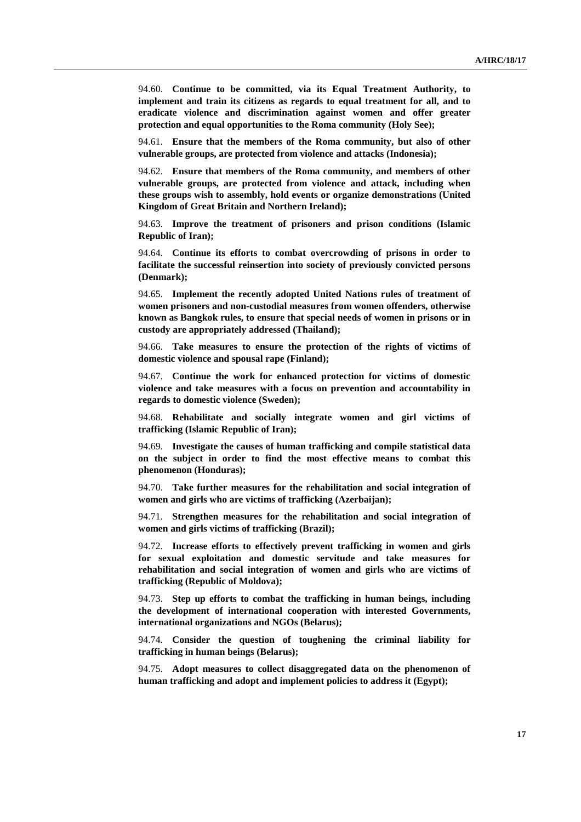94.60. **Continue to be committed, via its Equal Treatment Authority, to implement and train its citizens as regards to equal treatment for all, and to eradicate violence and discrimination against women and offer greater protection and equal opportunities to the Roma community (Holy See);**

94.61. **Ensure that the members of the Roma community, but also of other vulnerable groups, are protected from violence and attacks (Indonesia);**

94.62. **Ensure that members of the Roma community, and members of other vulnerable groups, are protected from violence and attack, including when these groups wish to assembly, hold events or organize demonstrations (United Kingdom of Great Britain and Northern Ireland);**

94.63. **Improve the treatment of prisoners and prison conditions (Islamic Republic of Iran);**

94.64. **Continue its efforts to combat overcrowding of prisons in order to facilitate the successful reinsertion into society of previously convicted persons (Denmark);**

94.65. **Implement the recently adopted United Nations rules of treatment of women prisoners and non-custodial measures from women offenders, otherwise known as Bangkok rules, to ensure that special needs of women in prisons or in custody are appropriately addressed (Thailand);**

94.66. **Take measures to ensure the protection of the rights of victims of domestic violence and spousal rape (Finland);**

94.67. **Continue the work for enhanced protection for victims of domestic violence and take measures with a focus on prevention and accountability in regards to domestic violence (Sweden);**

94.68. **Rehabilitate and socially integrate women and girl victims of trafficking (Islamic Republic of Iran);**

94.69. **Investigate the causes of human trafficking and compile statistical data on the subject in order to find the most effective means to combat this phenomenon (Honduras);**

94.70. **Take further measures for the rehabilitation and social integration of women and girls who are victims of trafficking (Azerbaijan);**

94.71. **Strengthen measures for the rehabilitation and social integration of women and girls victims of trafficking (Brazil);**

94.72. **Increase efforts to effectively prevent trafficking in women and girls for sexual exploitation and domestic servitude and take measures for rehabilitation and social integration of women and girls who are victims of trafficking (Republic of Moldova);**

94.73. **Step up efforts to combat the trafficking in human beings, including the development of international cooperation with interested Governments, international organizations and NGOs (Belarus);**

94.74. **Consider the question of toughening the criminal liability for trafficking in human beings (Belarus);**

94.75. **Adopt measures to collect disaggregated data on the phenomenon of human trafficking and adopt and implement policies to address it (Egypt);**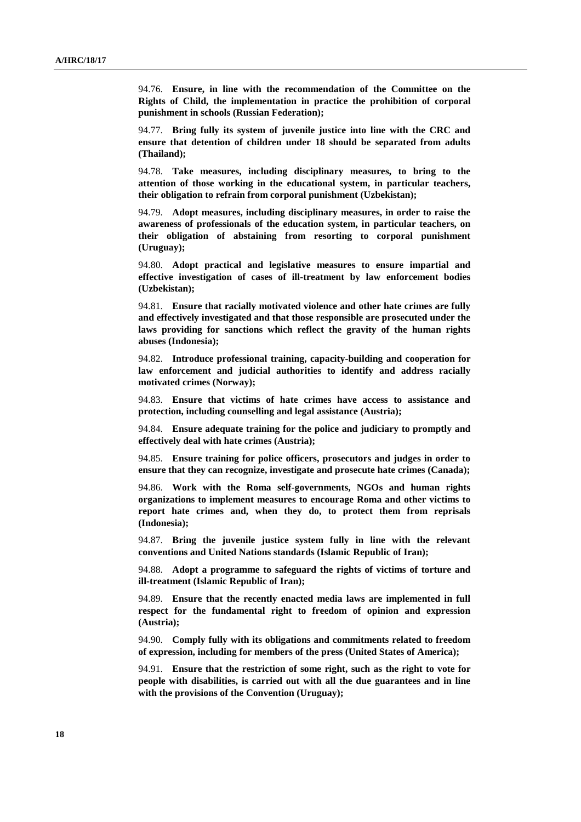94.76. **Ensure, in line with the recommendation of the Committee on the Rights of Child, the implementation in practice the prohibition of corporal punishment in schools (Russian Federation);**

94.77. **Bring fully its system of juvenile justice into line with the CRC and ensure that detention of children under 18 should be separated from adults (Thailand);**

94.78. **Take measures, including disciplinary measures, to bring to the attention of those working in the educational system, in particular teachers, their obligation to refrain from corporal punishment (Uzbekistan);**

94.79. **Adopt measures, including disciplinary measures, in order to raise the awareness of professionals of the education system, in particular teachers, on their obligation of abstaining from resorting to corporal punishment (Uruguay);**

94.80. **Adopt practical and legislative measures to ensure impartial and effective investigation of cases of ill-treatment by law enforcement bodies (Uzbekistan);**

94.81. **Ensure that racially motivated violence and other hate crimes are fully and effectively investigated and that those responsible are prosecuted under the laws providing for sanctions which reflect the gravity of the human rights abuses (Indonesia);**

94.82. **Introduce professional training, capacity-building and cooperation for law enforcement and judicial authorities to identify and address racially motivated crimes (Norway);**

94.83. **Ensure that victims of hate crimes have access to assistance and protection, including counselling and legal assistance (Austria);**

94.84. **Ensure adequate training for the police and judiciary to promptly and effectively deal with hate crimes (Austria);**

94.85. **Ensure training for police officers, prosecutors and judges in order to ensure that they can recognize, investigate and prosecute hate crimes (Canada);**

94.86. **Work with the Roma self-governments, NGOs and human rights organizations to implement measures to encourage Roma and other victims to report hate crimes and, when they do, to protect them from reprisals (Indonesia);**

94.87. **Bring the juvenile justice system fully in line with the relevant conventions and United Nations standards (Islamic Republic of Iran);**

94.88. **Adopt a programme to safeguard the rights of victims of torture and ill-treatment (Islamic Republic of Iran);**

94.89. **Ensure that the recently enacted media laws are implemented in full respect for the fundamental right to freedom of opinion and expression (Austria);**

94.90. **Comply fully with its obligations and commitments related to freedom of expression, including for members of the press (United States of America);**

94.91. **Ensure that the restriction of some right, such as the right to vote for people with disabilities, is carried out with all the due guarantees and in line with the provisions of the Convention (Uruguay);**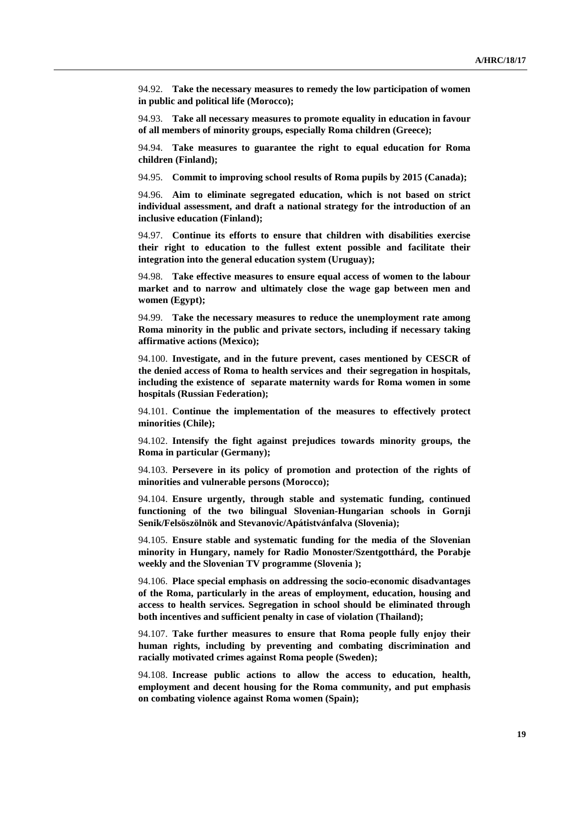94.92. **Take the necessary measures to remedy the low participation of women in public and political life (Morocco);**

94.93. **Take all necessary measures to promote equality in education in favour of all members of minority groups, especially Roma children (Greece);**

94.94. **Take measures to guarantee the right to equal education for Roma children (Finland);**

94.95. **Commit to improving school results of Roma pupils by 2015 (Canada);**

94.96. **Aim to eliminate segregated education, which is not based on strict individual assessment, and draft a national strategy for the introduction of an inclusive education (Finland);**

94.97. **Continue its efforts to ensure that children with disabilities exercise their right to education to the fullest extent possible and facilitate their integration into the general education system (Uruguay);**

94.98. **Take effective measures to ensure equal access of women to the labour market and to narrow and ultimately close the wage gap between men and women (Egypt);**

94.99. **Take the necessary measures to reduce the unemployment rate among Roma minority in the public and private sectors, including if necessary taking affirmative actions (Mexico);**

94.100. **Investigate, and in the future prevent, cases mentioned by CESCR of the denied access of Roma to health services and their segregation in hospitals, including the existence of separate maternity wards for Roma women in some hospitals (Russian Federation);**

94.101. **Continue the implementation of the measures to effectively protect minorities (Chile);**

94.102. **Intensify the fight against prejudices towards minority groups, the Roma in particular (Germany);**

94.103. **Persevere in its policy of promotion and protection of the rights of minorities and vulnerable persons (Morocco);**

94.104. **Ensure urgently, through stable and systematic funding, continued functioning of the two bilingual Slovenian-Hungarian schools in Gornji Senik/Felsöszölnök and Stevanovic/Apátistvánfalva (Slovenia);**

94.105. **Ensure stable and systematic funding for the media of the Slovenian minority in Hungary, namely for Radio Monoster/Szentgotthárd, the Porabje weekly and the Slovenian TV programme (Slovenia );**

94.106. **Place special emphasis on addressing the socio-economic disadvantages of the Roma, particularly in the areas of employment, education, housing and access to health services. Segregation in school should be eliminated through both incentives and sufficient penalty in case of violation (Thailand);**

94.107. **Take further measures to ensure that Roma people fully enjoy their human rights, including by preventing and combating discrimination and racially motivated crimes against Roma people (Sweden);**

94.108. **Increase public actions to allow the access to education, health, employment and decent housing for the Roma community, and put emphasis on combating violence against Roma women (Spain);**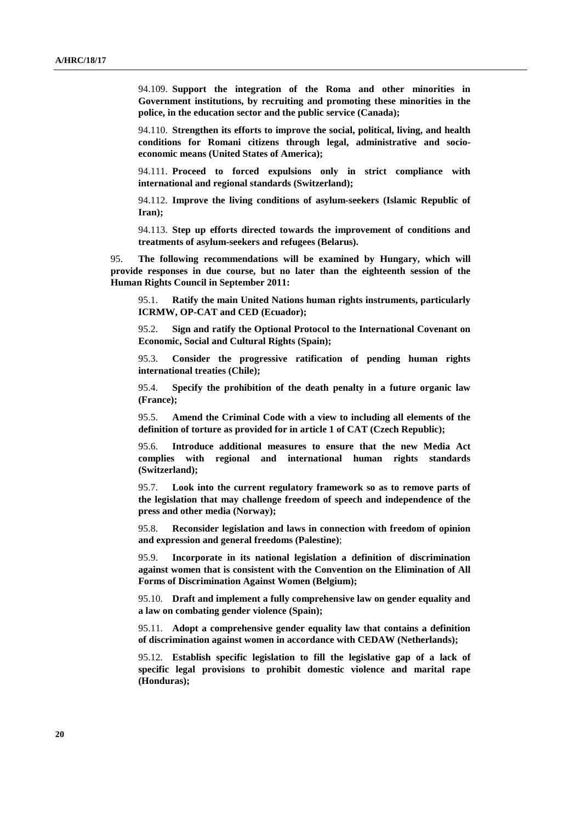94.109. **Support the integration of the Roma and other minorities in Government institutions, by recruiting and promoting these minorities in the police, in the education sector and the public service (Canada);**

94.110. **Strengthen its efforts to improve the social, political, living, and health conditions for Romani citizens through legal, administrative and socioeconomic means (United States of America);**

94.111. **Proceed to forced expulsions only in strict compliance with international and regional standards (Switzerland);**

94.112. **Improve the living conditions of asylum-seekers (Islamic Republic of Iran);**

94.113. **Step up efforts directed towards the improvement of conditions and treatments of asylum-seekers and refugees (Belarus).**

95. **The following recommendations will be examined by Hungary, which will provide responses in due course, but no later than the eighteenth session of the Human Rights Council in September 2011:**

95.1. **Ratify the main United Nations human rights instruments, particularly ICRMW, OP-CAT and CED (Ecuador);**

95.2. **Sign and ratify the Optional Protocol to the International Covenant on Economic, Social and Cultural Rights (Spain);**

95.3. **Consider the progressive ratification of pending human rights international treaties (Chile);**

95.4. **Specify the prohibition of the death penalty in a future organic law (France);**

95.5. **Amend the Criminal Code with a view to including all elements of the definition of torture as provided for in article 1 of CAT (Czech Republic);**

95.6. **Introduce additional measures to ensure that the new Media Act complies with regional and international human rights standards (Switzerland);**

95.7. **Look into the current regulatory framework so as to remove parts of the legislation that may challenge freedom of speech and independence of the press and other media (Norway);**

95.8. **Reconsider legislation and laws in connection with freedom of opinion and expression and general freedoms (Palestine)**;

95.9. **Incorporate in its national legislation a definition of discrimination against women that is consistent with the Convention on the Elimination of All Forms of Discrimination Against Women (Belgium);**

95.10. **Draft and implement a fully comprehensive law on gender equality and a law on combating gender violence (Spain);**

95.11. **Adopt a comprehensive gender equality law that contains a definition of discrimination against women in accordance with CEDAW (Netherlands);**

95.12. **Establish specific legislation to fill the legislative gap of a lack of specific legal provisions to prohibit domestic violence and marital rape (Honduras);**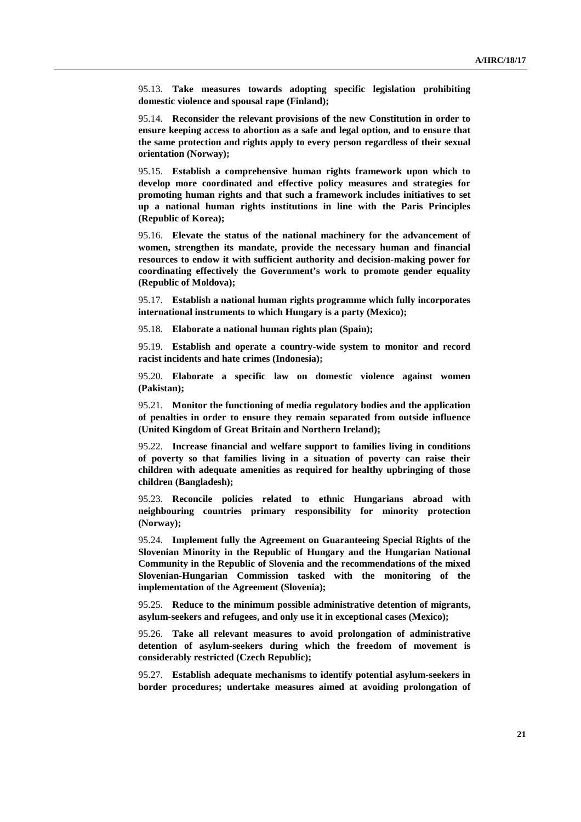95.13. **Take measures towards adopting specific legislation prohibiting domestic violence and spousal rape (Finland);**

95.14. **Reconsider the relevant provisions of the new Constitution in order to ensure keeping access to abortion as a safe and legal option, and to ensure that the same protection and rights apply to every person regardless of their sexual orientation (Norway);**

95.15. **Establish a comprehensive human rights framework upon which to develop more coordinated and effective policy measures and strategies for promoting human rights and that such a framework includes initiatives to set up a national human rights institutions in line with the Paris Principles (Republic of Korea);**

95.16. **Elevate the status of the national machinery for the advancement of women, strengthen its mandate, provide the necessary human and financial resources to endow it with sufficient authority and decision-making power for coordinating effectively the Government's work to promote gender equality (Republic of Moldova);**

95.17. **Establish a national human rights programme which fully incorporates international instruments to which Hungary is a party (Mexico);**

95.18. **Elaborate a national human rights plan (Spain);**

95.19. **Establish and operate a country-wide system to monitor and record racist incidents and hate crimes (Indonesia);**

95.20. **Elaborate a specific law on domestic violence against women (Pakistan);**

95.21. **Monitor the functioning of media regulatory bodies and the application of penalties in order to ensure they remain separated from outside influence (United Kingdom of Great Britain and Northern Ireland);**

95.22. **Increase financial and welfare support to families living in conditions of poverty so that families living in a situation of poverty can raise their children with adequate amenities as required for healthy upbringing of those children (Bangladesh);**

95.23. **Reconcile policies related to ethnic Hungarians abroad with neighbouring countries primary responsibility for minority protection (Norway);**

95.24. **Implement fully the Agreement on Guaranteeing Special Rights of the Slovenian Minority in the Republic of Hungary and the Hungarian National Community in the Republic of Slovenia and the recommendations of the mixed Slovenian-Hungarian Commission tasked with the monitoring of the implementation of the Agreement (Slovenia);**

95.25. **Reduce to the minimum possible administrative detention of migrants, asylum-seekers and refugees, and only use it in exceptional cases (Mexico);**

95.26. **Take all relevant measures to avoid prolongation of administrative detention of asylum-seekers during which the freedom of movement is considerably restricted (Czech Republic);**

95.27. **Establish adequate mechanisms to identify potential asylum-seekers in border procedures; undertake measures aimed at avoiding prolongation of**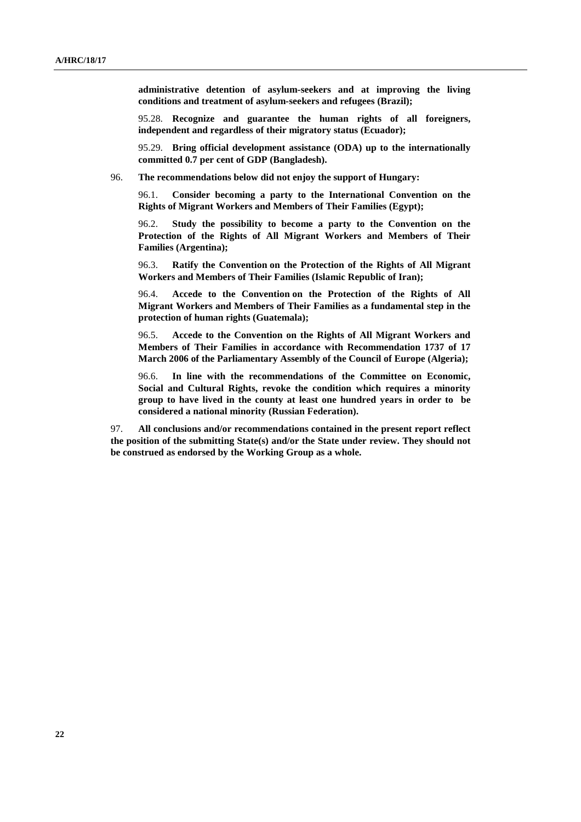**administrative detention of asylum-seekers and at improving the living conditions and treatment of asylum-seekers and refugees (Brazil);**

95.28. **Recognize and guarantee the human rights of all foreigners, independent and regardless of their migratory status (Ecuador);**

95.29. **Bring official development assistance (ODA) up to the internationally committed 0.7 per cent of GDP (Bangladesh).**

96. **The recommendations below did not enjoy the support of Hungary:**

96.1. **Consider becoming a party to the International Convention on the Rights of Migrant Workers and Members of Their Families (Egypt);**

96.2. **Study the possibility to become a party to the Convention on the Protection of the Rights of All Migrant Workers and Members of Their Families (Argentina);**

96.3. **Ratify the Convention on the Protection of the Rights of All Migrant Workers and Members of Their Families (Islamic Republic of Iran);**

96.4. **Accede to the Convention on the Protection of the Rights of All Migrant Workers and Members of Their Families as a fundamental step in the protection of human rights (Guatemala);**

96.5. **Accede to the Convention on the Rights of All Migrant Workers and Members of Their Families in accordance with Recommendation 1737 of 17 March 2006 of the Parliamentary Assembly of the Council of Europe (Algeria);**

96.6. **In line with the recommendations of the Committee on Economic, Social and Cultural Rights, revoke the condition which requires a minority group to have lived in the county at least one hundred years in order to be considered a national minority (Russian Federation).**

97. **All conclusions and/or recommendations contained in the present report reflect the position of the submitting State(s) and/or the State under review. They should not be construed as endorsed by the Working Group as a whole.**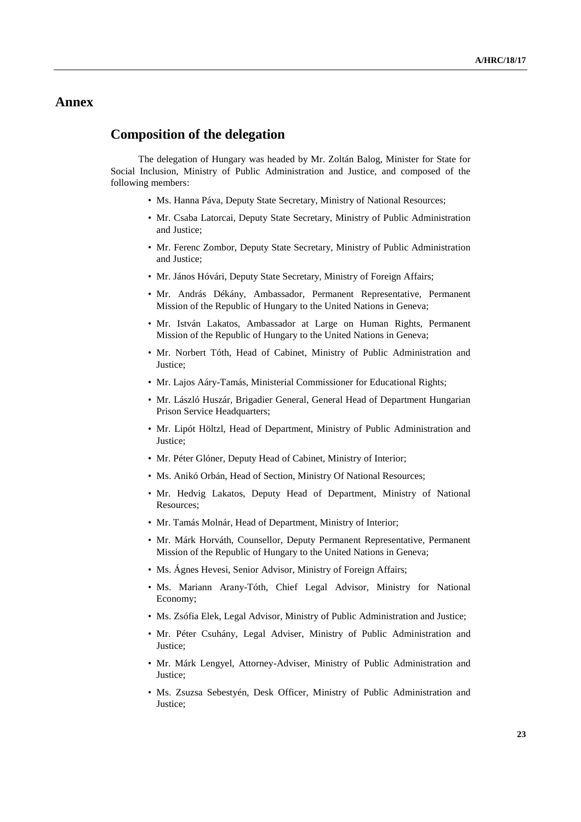# **Annex**

## **Composition of the delegation**

The delegation of Hungary was headed by Mr. Zoltán Balog, Minister for State for Social Inclusion, Ministry of Public Administration and Justice, and composed of the following members:

- Ms. Hanna Páva, Deputy State Secretary, Ministry of National Resources;
- Mr. Csaba Latorcai, Deputy State Secretary, Ministry of Public Administration and Justice;
- Mr. Ferenc Zombor, Deputy State Secretary, Ministry of Public Administration and Justice;
- Mr. János Hóvári, Deputy State Secretary, Ministry of Foreign Affairs;
- Mr. András Dékány, Ambassador, Permanent Representative, Permanent Mission of the Republic of Hungary to the United Nations in Geneva;
- Mr. István Lakatos, Ambassador at Large on Human Rights, Permanent Mission of the Republic of Hungary to the United Nations in Geneva;
- Mr. Norbert Tóth, Head of Cabinet, Ministry of Public Administration and Justice;
- Mr. Lajos Aáry-Tamás, Ministerial Commissioner for Educational Rights;
- Mr. László Huszár, Brigadier General, General Head of Department Hungarian Prison Service Headquarters;
- Mr. Lipót Höltzl, Head of Department, Ministry of Public Administration and Justice;
- Mr. Péter Glóner, Deputy Head of Cabinet, Ministry of Interior;
- Ms. Anikó Orbán, Head of Section, Ministry Of National Resources;
- Mr. Hedvig Lakatos, Deputy Head of Department, Ministry of National Resources;
- Mr. Tamás Molnár, Head of Department, Ministry of Interior;
- Mr. Márk Horváth, Counsellor, Deputy Permanent Representative, Permanent Mission of the Republic of Hungary to the United Nations in Geneva;
- Ms. Ágnes Hevesi, Senior Advisor, Ministry of Foreign Affairs;
- Ms. Mariann Arany-Tóth, Chief Legal Advisor, Ministry for National Economy;
- Ms. Zsófia Elek, Legal Advisor, Ministry of Public Administration and Justice;
- Mr. Péter Csuhány, Legal Adviser, Ministry of Public Administration and Justice;
- Mr. Márk Lengyel, Attorney-Adviser, Ministry of Public Administration and Justice;
- Ms. Zsuzsa Sebestyén, Desk Officer, Ministry of Public Administration and Justice;